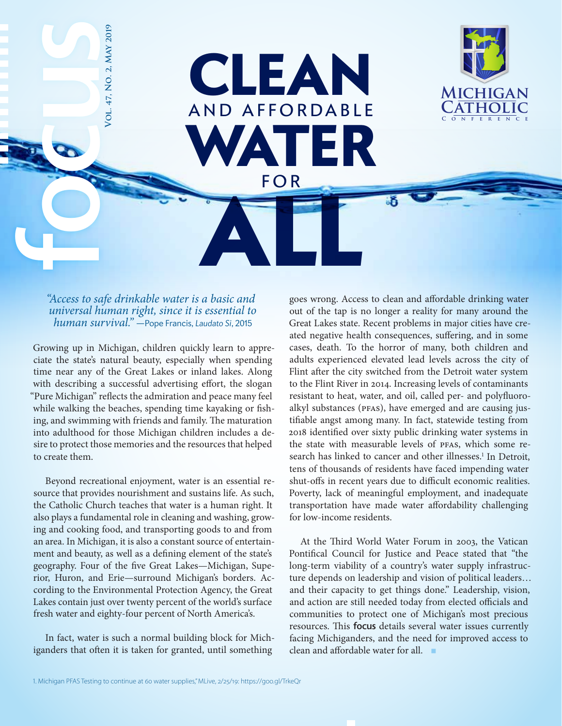

*"Access to safe drinkable water is a basic and universal human right, since it is essential to human survival."* —Pope Francis, *Laudato Si*, 2015

FOR S

**Vol. 47, No. 2, May 2019**

47, NO. 2,

/OL.

**MAY 2019** 

CLEAN

AND AFFORDABLE

FOR

ALL

WATER

Growing up in Michigan, children quickly learn to appreciate the state's natural beauty, especially when spending time near any of the Great Lakes or inland lakes. Along with describing a successful advertising effort, the slogan "Pure Michigan" reflects the admiration and peace many feel while walking the beaches, spending time kayaking or fishing, and swimming with friends and family. The maturation into adulthood for those Michigan children includes a desire to protect those memories and the resources that helped to create them.

Beyond recreational enjoyment, water is an essential resource that provides nourishment and sustains life. As such, the Catholic Church teaches that water is a human right. It also plays a fundamental role in cleaning and washing, growing and cooking food, and transporting goods to and from an area. In Michigan, it is also a constant source of entertainment and beauty, as well as a defining element of the state's geography. Four of the five Great Lakes—Michigan, Superior, Huron, and Erie—surround Michigan's borders. According to the Environmental Protection Agency, the Great Lakes contain just over twenty percent of the world's surface fresh water and eighty-four percent of North America's.

In fact, water is such a normal building block for Michiganders that often it is taken for granted, until something

goes wrong. Access to clean and affordable drinking water out of the tap is no longer a reality for many around the Great Lakes state. Recent problems in major cities have created negative health consequences, suffering, and in some cases, death. To the horror of many, both children and adults experienced elevated lead levels across the city of Flint after the city switched from the Detroit water system to the Flint River in 2014. Increasing levels of contaminants resistant to heat, water, and oil, called per- and polyfluoroalkyl substances (PFAS), have emerged and are causing justifiable angst among many. In fact, statewide testing from 2018 identified over sixty public drinking water systems in the state with measurable levels of PFAS, which some research has linked to cancer and other illnesses.<sup>1</sup> In Detroit, tens of thousands of residents have faced impending water shut-offs in recent years due to difficult economic realities. Poverty, lack of meaningful employment, and inadequate transportation have made water affordability challenging for low-income residents.

At the Third World Water Forum in 2003, the Vatican Pontifical Council for Justice and Peace stated that "the long-term viability of a country's water supply infrastructure depends on leadership and vision of political leaders… and their capacity to get things done." Leadership, vision, and action are still needed today from elected officials and communities to protect one of Michigan's most precious resources. This focus details several water issues currently facing Michiganders, and the need for improved access to clean and affordable water for all.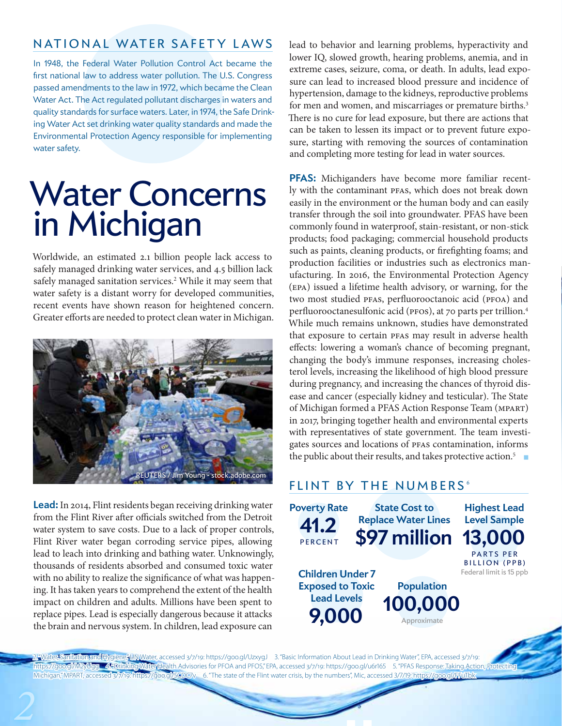## NATIONAL WATER SAFETY LAWS

In 1948, the Federal Water Pollution Control Act became the first national law to address water pollution. The U.S. Congress passed amendments to the law in 1972, which became the Clean Water Act. The Act regulated pollutant discharges in waters and quality standards for surface waters. Later, in 1974, the Safe Drinking Water Act set drinking water quality standards and made the Environmental Protection Agency responsible for implementing water safety.

## Water Concerns in Michigan

Worldwide, an estimated 2.1 billion people lack access to safely managed drinking water services, and 4.5 billion lack safely managed sanitation services.<sup>2</sup> While it may seem that water safety is a distant worry for developed communities, recent events have shown reason for heightened concern. Greater efforts are needed to protect clean water in Michigan.



**Lead:** In 2014, Flint residents began receiving drinking water from the Flint River after officials switched from the Detroit water system to save costs. Due to a lack of proper controls, Flint River water began corroding service pipes, allowing lead to leach into drinking and bathing water. Unknowingly, thousands of residents absorbed and consumed toxic water with no ability to realize the significance of what was happening. It has taken years to comprehend the extent of the health impact on children and adults. Millions have been spent to replace pipes. Lead is especially dangerous because it attacks the brain and nervous system. In children, lead exposure can

lead to behavior and learning problems, hyperactivity and lower IQ, slowed growth, hearing problems, anemia, and in extreme cases, seizure, coma, or death. In adults, lead exposure can lead to increased blood pressure and incidence of hypertension, damage to the kidneys, reproductive problems for men and women, and miscarriages or premature births.<sup>3</sup> There is no cure for lead exposure, but there are actions that can be taken to lessen its impact or to prevent future exposure, starting with removing the sources of contamination and completing more testing for lead in water sources.

**PFAS:** Michiganders have become more familiar recently with the contaminant PFAS, which does not break down easily in the environment or the human body and can easily transfer through the soil into groundwater. PFAS have been commonly found in waterproof, stain-resistant, or non-stick products; food packaging; commercial household products such as paints, cleaning products, or firefighting foams; and production facilities or industries such as electronics manufacturing. In 2016, the Environmental Protection Agency (EPA) issued a lifetime health advisory, or warning, for the two most studied PFAS, perfluorooctanoic acid (PFOA) and perfluorooctanesulfonic acid (PFOS), at 70 parts per trillion.4 While much remains unknown, studies have demonstrated that exposure to certain PFAS may result in adverse health effects: lowering a woman's chance of becoming pregnant, changing the body's immune responses, increasing cholesterol levels, increasing the likelihood of high blood pressure during pregnancy, and increasing the chances of thyroid disease and cancer (especially kidney and testicular). The State of Michigan formed a PFAS Action Response Team (MPART) in 2017, bringing together health and environmental experts with representatives of state government. The team investigates sources and locations of PFAS contamination, informs the public about their results, and takes protective action.5 ■

### FLINT BY THE NUMBERS<sup>6</sup>



. "Water, Sanitation and Hygiene, UN Water, accessed 3/7/19: https://goo.gl/UzxygJ 3. "Basic Information About Lead in Drinking Water", EPA, accessed 3/7/19: https://goo.gl/M2yUgg 4. "Drinking Water Health Advisories for PFOA and PFOS," EPA, accessed 3/7/19: https://goo.gl/u6r165 5. "PFAS Response: Taking Action, Protecting Michigan,"MPART, accessed 3/7/19: https://goo.gl/5CDC7v 6. "The state of the Flint water crisis, by the numbers", Mic, accessed 3/7/19: https://g<u>oo.gl/FFuTb</u>k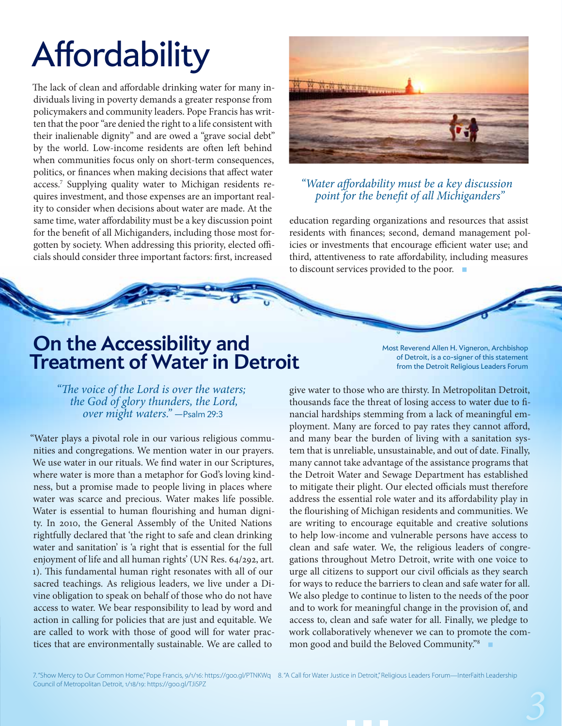# **Affordability**

The lack of clean and affordable drinking water for many individuals living in poverty demands a greater response from policymakers and community leaders. Pope Francis has written that the poor "are denied the right to a life consistent with their inalienable dignity" and are owed a "grave social debt" by the world. Low-income residents are often left behind when communities focus only on short-term consequences, politics, or finances when making decisions that affect water access.7 Supplying quality water to Michigan residents requires investment, and those expenses are an important reality to consider when decisions about water are made. At the same time, water affordability must be a key discussion point for the benefit of all Michiganders, including those most forgotten by society. When addressing this priority, elected officials should consider three important factors: first, increased



#### *"Water affordability must be a key discussion point for the benefit of all Michiganders"*

education regarding organizations and resources that assist residents with finances; second, demand management policies or investments that encourage efficient water use; and third, attentiveness to rate affordability, including measures to discount services provided to the poor. ■

## **On the Accessibility and Treatment of Water in Detroit**

Most Reverend Allen H. Vigneron, Archbishop of Detroit, is a co-signer of this statement from the Detroit Religious Leaders Forum

*"The voice of the Lord is over the waters; the God of glory thunders, the Lord, over might waters."* —Psalm 29:3

"Water plays a pivotal role in our various religious communities and congregations. We mention water in our prayers. We use water in our rituals. We find water in our Scriptures, where water is more than a metaphor for God's loving kindness, but a promise made to people living in places where water was scarce and precious. Water makes life possible. Water is essential to human flourishing and human dignity. In 2010, the General Assembly of the United Nations rightfully declared that 'the right to safe and clean drinking water and sanitation' is 'a right that is essential for the full enjoyment of life and all human rights' (UN Res. 64/292, art. 1). This fundamental human right resonates with all of our sacred teachings. As religious leaders, we live under a Divine obligation to speak on behalf of those who do not have access to water. We bear responsibility to lead by word and action in calling for policies that are just and equitable. We are called to work with those of good will for water practices that are environmentally sustainable. We are called to

give water to those who are thirsty. In Metropolitan Detroit, thousands face the threat of losing access to water due to financial hardships stemming from a lack of meaningful employment. Many are forced to pay rates they cannot afford, and many bear the burden of living with a sanitation system that is unreliable, unsustainable, and out of date. Finally, many cannot take advantage of the assistance programs that the Detroit Water and Sewage Department has established to mitigate their plight. Our elected officials must therefore address the essential role water and its affordability play in the flourishing of Michigan residents and communities. We are writing to encourage equitable and creative solutions to help low-income and vulnerable persons have access to clean and safe water. We, the religious leaders of congregations throughout Metro Detroit, write with one voice to urge all citizens to support our civil officials as they search for ways to reduce the barriers to clean and safe water for all. We also pledge to continue to listen to the needs of the poor and to work for meaningful change in the provision of, and access to, clean and safe water for all. Finally, we pledge to work collaboratively whenever we can to promote the common good and build the Beloved Community."<sup>8</sup>

7. "Show Mercy to Our Common Home," Pope Francis, 9/1/16: https://goo.gl/PTNKWq 8. "A Call for Water Justice in Detroit," Religious Leaders Forum—InterFaith Leadership Council of Metropolitan Detroit, 1/18/19: https://goo.gl/TJiSPZ